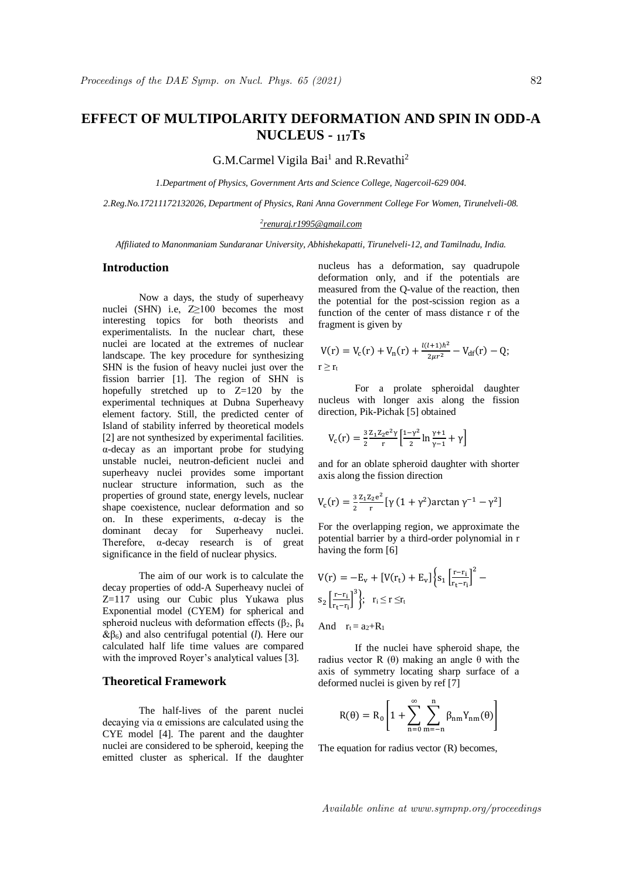# **EFFECT OF MULTIPOLARITY DEFORMATION AND SPIN IN ODD-A NUCLEUS - <sup>117</sup>Ts**

G.M.Carmel Vigila Bai<sup>1</sup> and R.Revathi<sup>2</sup>

*1.Department of Physics, Government Arts and Science College, Nagercoil-629 004.*

*2.Reg.No.17211172132026, Department of Physics, Rani Anna Government College For Women, Tirunelveli-08.*

#### *2 renuraj.r1995@gmail.com*

*Affiliated to Manonmaniam Sundaranar University, Abhishekapatti, Tirunelveli-12, and Tamilnadu, India.*

# **Introduction**

Now a days, the study of superheavy nuclei (SHN) i.e,  $Z \ge 100$  becomes the most interesting topics for both theorists and experimentalists. In the nuclear chart, these nuclei are located at the extremes of nuclear landscape. The key procedure for synthesizing SHN is the fusion of heavy nuclei just over the fission barrier [1]. The region of SHN is hopefully stretched up to  $Z=120$  by the experimental techniques at Dubna Superheavy element factory. Still, the predicted center of Island of stability inferred by theoretical models [2] are not synthesized by experimental facilities. α-decay as an important probe for studying unstable nuclei, neutron-deficient nuclei and superheavy nuclei provides some important nuclear structure information, such as the properties of ground state, energy levels, nuclear shape coexistence, nuclear deformation and so on. In these experiments,  $\alpha$ -decay is the dominant decay for Superheavy nuclei. Therefore,  $\alpha$ -decay research is of great significance in the field of nuclear physics.

The aim of our work is to calculate the decay properties of odd-A Superheavy nuclei of Z=117 using our Cubic plus Yukawa plus Exponential model (CYEM) for spherical and spheroid nucleus with deformation effects ( $β_2$ ,  $β_4$  $\&$ β<sub>6</sub>) and also centrifugal potential (*l*). Here our calculated half life time values are compared with the improved Royer's analytical values [3].

# **Theoretical Framework**

The half-lives of the parent nuclei decaying via  $\alpha$  emissions are calculated using the CYE model [4]. The parent and the daughter nuclei are considered to be spheroid, keeping the emitted cluster as spherical. If the daughter nucleus has a deformation, say quadrupole deformation only, and if the potentials are measured from the Q-value of the reaction, then the potential for the post-scission region as a function of the center of mass distance r of the fragment is given by

$$
V(r) = V_c(r) + V_n(r) + \frac{l(l+1)\hbar^2}{2\mu r^2} - V_{df}(r) - Q;
$$
  

$$
r \ge r_t
$$

For a prolate spheroidal daughter nucleus with longer axis along the fission direction, Pik-Pichak [5] obtained

$$
V_c(r) = \frac{3}{2} \frac{z_1 z_2 e^2 \gamma}{r} \left[ \frac{1 - \gamma^2}{2} \ln \frac{\gamma + 1}{\gamma - 1} + \gamma \right]
$$

and for an oblate spheroid daughter with shorter axis along the fission direction

$$
V_c(r) = \frac{3}{2} \frac{z_1 z_2 e^2}{r} \left[ \gamma (1 + \gamma^2) \arctan \gamma^{-1} - \gamma^2 \right]
$$

For the overlapping region, we approximate the potential barrier by a third-order polynomial in r having the form [6]

$$
V(r) = -E_v + [V(r_t) + E_v] \left\{ s_1 \left[ \frac{r - r_i}{r_t - r_i} \right]^2 - s_2 \left[ \frac{r - r_i}{r_t - r_i} \right]^3 \right\}; \quad r_i \le r \le r_t
$$

And  $r_1 = a_2 + R_1$ 

If the nuclei have spheroid shape, the radius vector R (θ) making an angle θ with the axis of symmetry locating sharp surface of a deformed nuclei is given by ref [7]

$$
R(\theta) = R_0 \left[ 1 + \sum_{n=0}^{\infty} \sum_{m=-n}^{n} \beta_{nm} Y_{nm}(\theta) \right]
$$

The equation for radius vector (R) becomes,

Available online at www.sympnp.org/proceedings